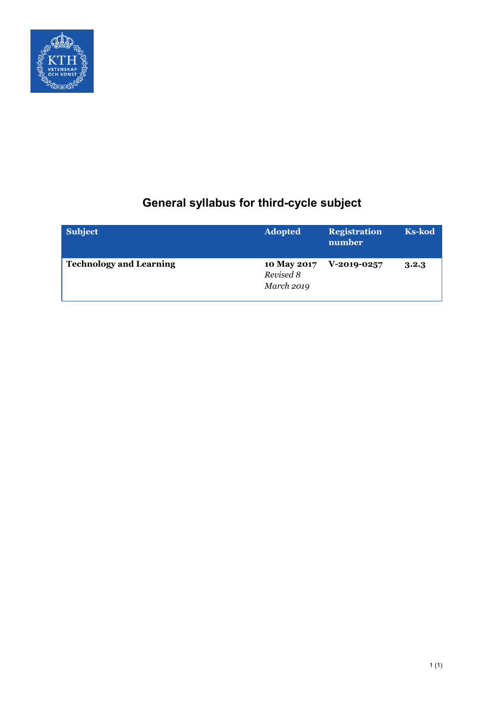

# **General syllabus for third-cycle subject**

| Subject                        | <b>Adopted</b>                         | <b>Registration</b><br>number | <b>Ks-kod</b> |
|--------------------------------|----------------------------------------|-------------------------------|---------------|
| <b>Technology and Learning</b> | 10 May 2017<br>Revised 8<br>March 2019 | V-2019-0257                   | 3.2.3         |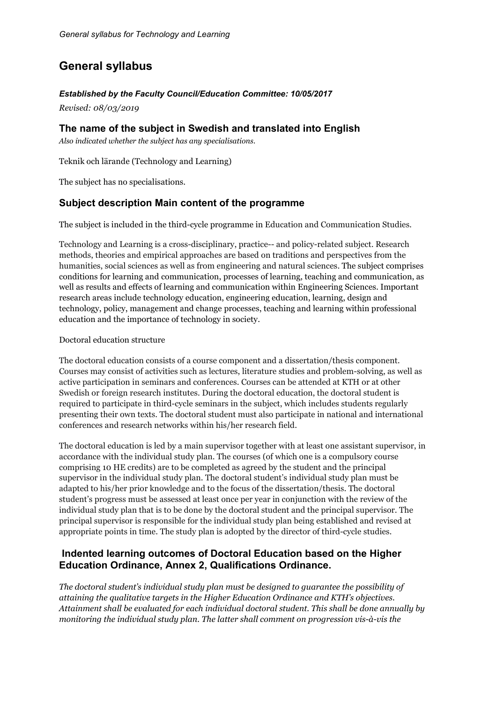## **General syllabus**

## *Established by the Faculty Council/Education Committee: 10/05/2017*

*Revised: 08/03/2019*

## **The name of the subject in Swedish and translated into English**

*Also indicated whether the subject has any specialisations.*

Teknik och lärande (Technology and Learning)

The subject has no specialisations.

## **Subject description Main content of the programme**

The subject is included in the third-cycle programme in Education and Communication Studies.

Technology and Learning is a cross-disciplinary, practice-- and policy-related subject. Research methods, theories and empirical approaches are based on traditions and perspectives from the humanities, social sciences as well as from engineering and natural sciences. The subject comprises conditions for learning and communication, processes of learning, teaching and communication, as well as results and effects of learning and communication within Engineering Sciences. Important research areas include technology education, engineering education, learning, design and technology, policy, management and change processes, teaching and learning within professional education and the importance of technology in society.

## Doctoral education structure

The doctoral education consists of a course component and a dissertation/thesis component. Courses may consist of activities such as lectures, literature studies and problem-solving, as well as active participation in seminars and conferences. Courses can be attended at KTH or at other Swedish or foreign research institutes. During the doctoral education, the doctoral student is required to participate in third-cycle seminars in the subject, which includes students regularly presenting their own texts. The doctoral student must also participate in national and international conferences and research networks within his/her research field.

The doctoral education is led by a main supervisor together with at least one assistant supervisor, in accordance with the individual study plan. The courses (of which one is a compulsory course comprising 10 HE credits) are to be completed as agreed by the student and the principal supervisor in the individual study plan. The doctoral student's individual study plan must be adapted to his/her prior knowledge and to the focus of the dissertation/thesis. The doctoral student's progress must be assessed at least once per year in conjunction with the review of the individual study plan that is to be done by the doctoral student and the principal supervisor. The principal supervisor is responsible for the individual study plan being established and revised at appropriate points in time. The study plan is adopted by the director of third-cycle studies.

## **Indented learning outcomes of Doctoral Education based on the Higher Education Ordinance, Annex 2, Qualifications Ordinance.**

*The doctoral student's individual study plan must be designed to guarantee the possibility of attaining the qualitative targets in the Higher Education Ordinance and KTH's objectives. Attainment shall be evaluated for each individual doctoral student. This shall be done annually by monitoring the individual study plan. The latter shall comment on progression vis-à-vis the*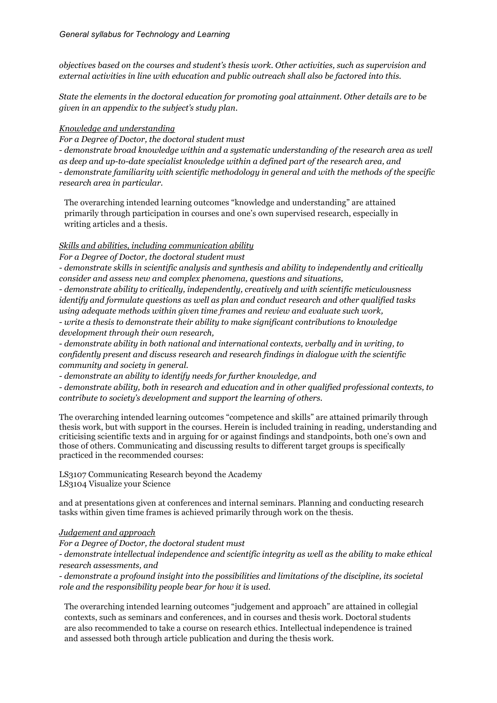*objectives based on the courses and student's thesis work. Other activities, such as supervision and external activities in line with education and public outreach shall also be factored into this.*

*State the elements in the doctoral education for promoting goal attainment. Other details are to be given in an appendix to the subject's study plan.*

#### *Knowledge and understanding*

*For a Degree of Doctor, the doctoral student must*

*- demonstrate broad knowledge within and a systematic understanding of the research area as well as deep and up-to-date specialist knowledge within a defined part of the research area, and - demonstrate familiarity with scientific methodology in general and with the methods of the specific research area in particular.*

The overarching intended learning outcomes "knowledge and understanding" are attained primarily through participation in courses and one's own supervised research, especially in writing articles and a thesis.

## *Skills and abilities, including communication ability*

*For a Degree of Doctor, the doctoral student must*

*- demonstrate skills in scientific analysis and synthesis and ability to independently and critically consider and assess new and complex phenomena, questions and situations,*

*- demonstrate ability to critically, independently, creatively and with scientific meticulousness identify and formulate questions as well as plan and conduct research and other qualified tasks using adequate methods within given time frames and review and evaluate such work,*

*- write a thesis to demonstrate their ability to make significant contributions to knowledge development through their own research,*

*- demonstrate ability in both national and international contexts, verbally and in writing, to confidently present and discuss research and research findings in dialogue with the scientific community and society in general.*

*- demonstrate an ability to identify needs for further knowledge, and*

*- demonstrate ability, both in research and education and in other qualified professional contexts, to contribute to society's development and support the learning of others*.

The overarching intended learning outcomes "competence and skills" are attained primarily through thesis work, but with support in the courses. Herein is included training in reading, understanding and criticising scientific texts and in arguing for or against findings and standpoints, both one's own and those of others. Communicating and discussing results to different target groups is specifically practiced in the recommended courses:

LS3107 Communicating Research beyond the Academy LS3104 Visualize your Science

and at presentations given at conferences and internal seminars. Planning and conducting research tasks within given time frames is achieved primarily through work on the thesis.

#### *Judgement and approach*

*For a Degree of Doctor, the doctoral student must*

*- demonstrate intellectual independence and scientific integrity as well as the ability to make ethical research assessments, and*

*- demonstrate a profound insight into the possibilities and limitations of the discipline, its societal role and the responsibility people bear for how it is used.*

The overarching intended learning outcomes "judgement and approach" are attained in collegial contexts, such as seminars and conferences, and in courses and thesis work. Doctoral students are also recommended to take a course on research ethics. Intellectual independence is trained and assessed both through article publication and during the thesis work.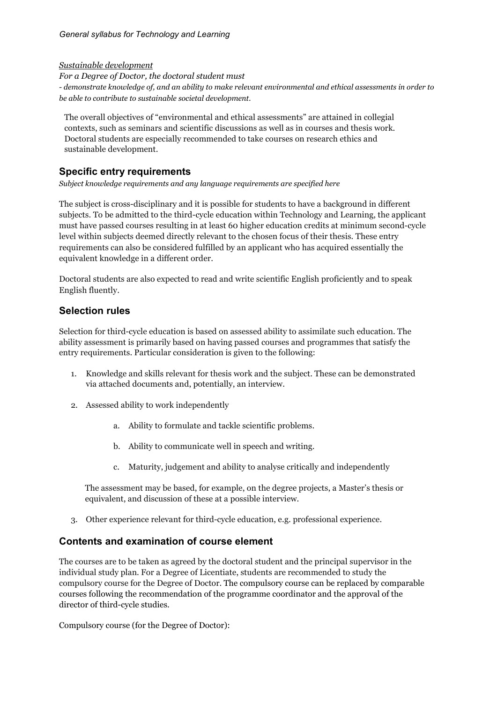*Sustainable development*

*For a Degree of Doctor, the doctoral student must - demonstrate knowledge of, and an ability to make relevant environmental and ethical assessments in order to be able to contribute to sustainable societal development.*

The overall objectives of "environmental and ethical assessments" are attained in collegial contexts, such as seminars and scientific discussions as well as in courses and thesis work. Doctoral students are especially recommended to take courses on research ethics and sustainable development.

## **Specific entry requirements**

*Subject knowledge requirements and any language requirements are specified here*

The subject is cross-disciplinary and it is possible for students to have a background in different subjects. To be admitted to the third-cycle education within Technology and Learning, the applicant must have passed courses resulting in at least 60 higher education credits at minimum second-cycle level within subjects deemed directly relevant to the chosen focus of their thesis. These entry requirements can also be considered fulfilled by an applicant who has acquired essentially the equivalent knowledge in a different order.

Doctoral students are also expected to read and write scientific English proficiently and to speak English fluently.

## **Selection rules**

Selection for third-cycle education is based on assessed ability to assimilate such education. The ability assessment is primarily based on having passed courses and programmes that satisfy the entry requirements. Particular consideration is given to the following:

- 1. Knowledge and skills relevant for thesis work and the subject. These can be demonstrated via attached documents and, potentially, an interview.
- 2. Assessed ability to work independently
	- a. Ability to formulate and tackle scientific problems.
	- b. Ability to communicate well in speech and writing.
	- c. Maturity, judgement and ability to analyse critically and independently

The assessment may be based, for example, on the degree projects, a Master's thesis or equivalent, and discussion of these at a possible interview.

3. Other experience relevant for third-cycle education, e.g. professional experience.

## **Contents and examination of course element**

The courses are to be taken as agreed by the doctoral student and the principal supervisor in the individual study plan. For a Degree of Licentiate, students are recommended to study the compulsory course for the Degree of Doctor. The compulsory course can be replaced by comparable courses following the recommendation of the programme coordinator and the approval of the director of third-cycle studies.

Compulsory course (for the Degree of Doctor):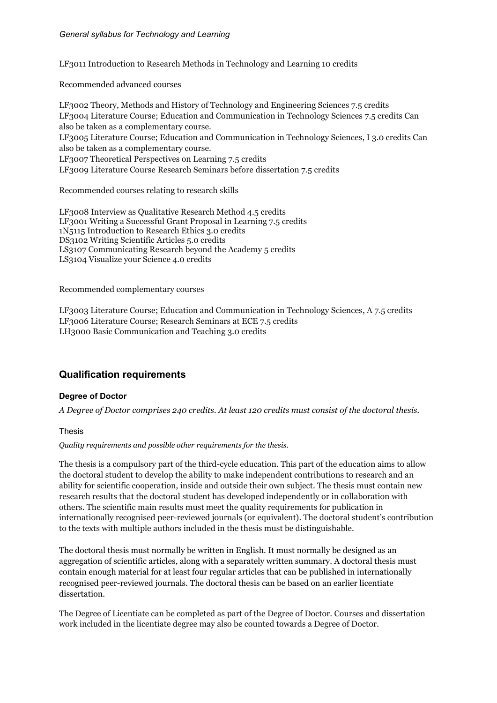LF3011 Introduction to Research Methods in Technology and Learning 10 credits

Recommended advanced courses

LF3002 Theory, Methods and History of Technology and Engineering Sciences 7.5 credits LF3004 Literature Course; Education and Communication in Technology Sciences 7.5 credits Can also be taken as a complementary course. LF3005 Literature Course; Education and Communication in Technology Sciences, I 3.0 credits Can also be taken as a complementary course. LF3007 Theoretical Perspectives on Learning 7.5 credits LF3009 Literature Course Research Seminars before dissertation 7.5 credits

Recommended courses relating to research skills

LF3008 Interview as Qualitative Research Method 4.5 credits LF3001 Writing a Successful Grant Proposal in Learning 7.5 credits 1N5115 Introduction to Research Ethics 3.0 credits DS3102 Writing Scientific Articles 5.0 credits LS3107 Communicating Research beyond the Academy 5 credits LS3104 Visualize your Science 4.0 credits

Recommended complementary courses

LF3003 Literature Course; Education and Communication in Technology Sciences, A 7.5 credits LF3006 Literature Course; Research Seminars at ECE 7.5 credits LH3000 Basic Communication and Teaching 3.0 credits

## **Qualification requirements**

#### **Degree of Doctor**

*A Degree of Doctor comprises 240 credits. At least 120 credits must consist of the doctoral thesis.*

Thesis

*Quality requirements and possible other requirements for the thesis.*

The thesis is a compulsory part of the third-cycle education. This part of the education aims to allow the doctoral student to develop the ability to make independent contributions to research and an ability for scientific cooperation, inside and outside their own subject. The thesis must contain new research results that the doctoral student has developed independently or in collaboration with others. The scientific main results must meet the quality requirements for publication in internationally recognised peer-reviewed journals (or equivalent). The doctoral student's contribution to the texts with multiple authors included in the thesis must be distinguishable.

The doctoral thesis must normally be written in English. It must normally be designed as an aggregation of scientific articles, along with a separately written summary. A doctoral thesis must contain enough material for at least four regular articles that can be published in internationally recognised peer-reviewed journals. The doctoral thesis can be based on an earlier licentiate dissertation.

The Degree of Licentiate can be completed as part of the Degree of Doctor. Courses and dissertation work included in the licentiate degree may also be counted towards a Degree of Doctor.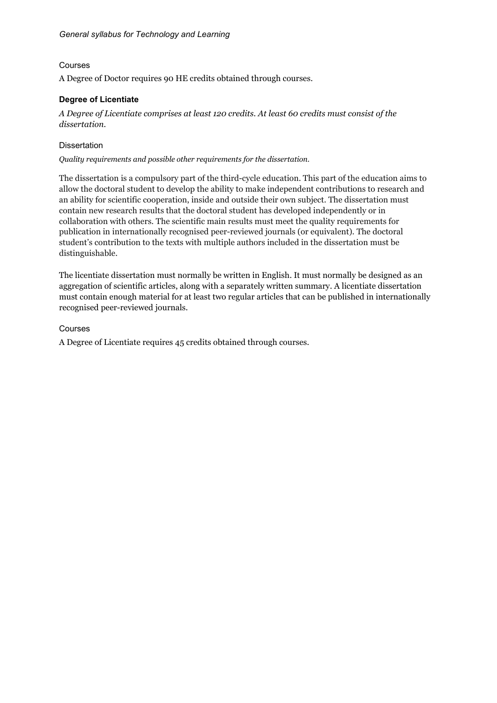#### Courses

A Degree of Doctor requires 90 HE credits obtained through courses.

## **Degree of Licentiate**

*A Degree of Licentiate comprises at least 120 credits. At least 60 credits must consist of the dissertation.*

#### **Dissertation**

*Quality requirements and possible other requirements for the dissertation.*

The dissertation is a compulsory part of the third-cycle education. This part of the education aims to allow the doctoral student to develop the ability to make independent contributions to research and an ability for scientific cooperation, inside and outside their own subject. The dissertation must contain new research results that the doctoral student has developed independently or in collaboration with others. The scientific main results must meet the quality requirements for publication in internationally recognised peer-reviewed journals (or equivalent). The doctoral student's contribution to the texts with multiple authors included in the dissertation must be distinguishable.

The licentiate dissertation must normally be written in English. It must normally be designed as an aggregation of scientific articles, along with a separately written summary. A licentiate dissertation must contain enough material for at least two regular articles that can be published in internationally recognised peer-reviewed journals.

## Courses

A Degree of Licentiate requires 45 credits obtained through courses.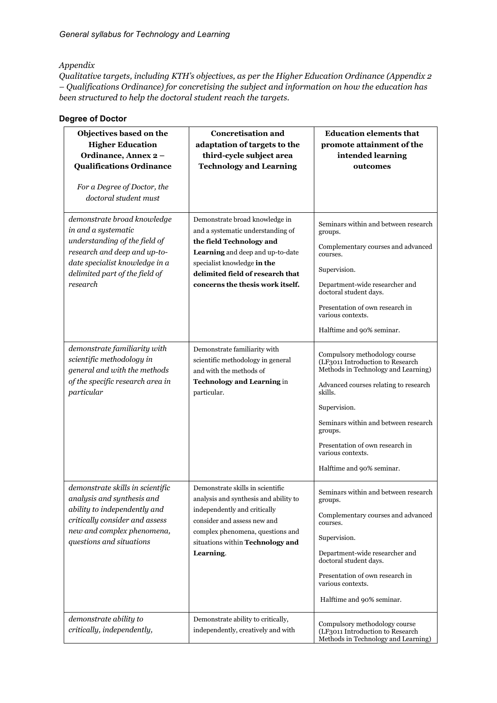#### *Appendix*

*Qualitative targets, including KTH's objectives, as per the Higher Education Ordinance (Appendix 2 – Qualifications Ordinance) for concretising the subject and information on how the education has been structured to help the doctoral student reach the targets.* 

## **Degree of Doctor**

| Objectives based on the<br><b>Higher Education</b><br>Ordinance, Annex 2-<br><b>Qualifications Ordinance</b><br>For a Degree of Doctor, the<br>doctoral student must                                | <b>Concretisation and</b><br>adaptation of targets to the<br>third-cycle subject area<br><b>Technology and Learning</b>                                                                                                                    | <b>Education elements that</b><br>promote attainment of the<br>intended learning<br>outcomes                                                                                                                                                                                                                         |
|-----------------------------------------------------------------------------------------------------------------------------------------------------------------------------------------------------|--------------------------------------------------------------------------------------------------------------------------------------------------------------------------------------------------------------------------------------------|----------------------------------------------------------------------------------------------------------------------------------------------------------------------------------------------------------------------------------------------------------------------------------------------------------------------|
| demonstrate broad knowledge<br>in and a systematic<br>understanding of the field of<br>research and deep and up-to-<br>date specialist knowledge in a<br>delimited part of the field of<br>research | Demonstrate broad knowledge in<br>and a systematic understanding of<br>the field Technology and<br>Learning and deep and up-to-date<br>specialist knowledge in the<br>delimited field of research that<br>concerns the thesis work itself. | Seminars within and between research<br>groups.<br>Complementary courses and advanced<br>courses.<br>Supervision.<br>Department-wide researcher and<br>doctoral student days.<br>Presentation of own research in<br>various contexts.<br>Halftime and 90% seminar.                                                   |
| demonstrate familiarity with<br>scientific methodology in<br>general and with the methods<br>of the specific research area in<br>particular                                                         | Demonstrate familiarity with<br>scientific methodology in general<br>and with the methods of<br><b>Technology and Learning in</b><br>particular.                                                                                           | Compulsory methodology course<br>(LF3011 Introduction to Research<br>Methods in Technology and Learning)<br>Advanced courses relating to research<br>skills.<br>Supervision.<br>Seminars within and between research<br>groups.<br>Presentation of own research in<br>various contexts.<br>Halftime and 90% seminar. |
| demonstrate skills in scientific<br>analysis and synthesis and<br>ability to independently and<br>critically consider and assess<br>new and complex phenomena,<br>questions and situations          | Demonstrate skills in scientific<br>analysis and synthesis and ability to<br>independently and critically<br>consider and assess new and<br>complex phenomena, questions and<br>situations within Technology and<br>Learning.              | Seminars within and between research<br>groups.<br>Complementary courses and advanced<br>courses.<br>Supervision.<br>Department-wide researcher and<br>doctoral student days.<br>Presentation of own research in<br>various contexts.<br>Halftime and 90% seminar.                                                   |
| demonstrate ability to<br>critically, independently,                                                                                                                                                | Demonstrate ability to critically,<br>independently, creatively and with                                                                                                                                                                   | Compulsory methodology course<br>(LF3011 Introduction to Research<br>Methods in Technology and Learning)                                                                                                                                                                                                             |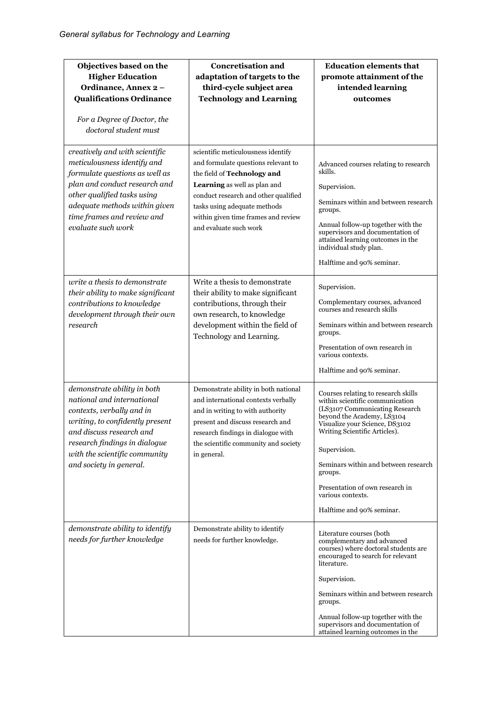| Objectives based on the<br><b>Higher Education</b><br>Ordinance, Annex 2-<br><b>Qualifications Ordinance</b><br>For a Degree of Doctor, the<br>doctoral student must                                                                                 | <b>Concretisation and</b><br>adaptation of targets to the<br>third-cycle subject area<br><b>Technology and Learning</b>                                                                                                                                                           | <b>Education elements that</b><br>promote attainment of the<br>intended learning<br>outcomes                                                                                                                                                                                                                                                                      |
|------------------------------------------------------------------------------------------------------------------------------------------------------------------------------------------------------------------------------------------------------|-----------------------------------------------------------------------------------------------------------------------------------------------------------------------------------------------------------------------------------------------------------------------------------|-------------------------------------------------------------------------------------------------------------------------------------------------------------------------------------------------------------------------------------------------------------------------------------------------------------------------------------------------------------------|
| creatively and with scientific<br>meticulousness identify and<br>formulate questions as well as<br>plan and conduct research and<br>other qualified tasks using<br>adequate methods within given<br>time frames and review and<br>evaluate such work | scientific meticulousness identify<br>and formulate questions relevant to<br>the field of Technology and<br>Learning as well as plan and<br>conduct research and other qualified<br>tasks using adequate methods<br>within given time frames and review<br>and evaluate such work | Advanced courses relating to research<br>skills.<br>Supervision.<br>Seminars within and between research<br>groups.<br>Annual follow-up together with the<br>supervisors and documentation of<br>attained learning outcomes in the<br>individual study plan.<br>Halftime and 90% seminar.                                                                         |
| write a thesis to demonstrate<br>their ability to make significant<br>contributions to knowledge<br>development through their own<br>research                                                                                                        | Write a thesis to demonstrate<br>their ability to make significant<br>contributions, through their<br>own research, to knowledge<br>development within the field of<br>Technology and Learning.                                                                                   | Supervision.<br>Complementary courses, advanced<br>courses and research skills<br>Seminars within and between research<br>groups.<br>Presentation of own research in<br>various contexts.<br>Halftime and 90% seminar.                                                                                                                                            |
| demonstrate ability in both<br>national and international<br>contexts, verbally and in<br>writing, to confidently present<br>and discuss research and<br>research findings in dialogue<br>with the scientific community<br>and society in general.   | Demonstrate ability in both national<br>and international contexts verbally<br>and in writing to with authority<br>present and discuss research and<br>research findings in dialogue with<br>the scientific community and society<br>in general.                                  | Courses relating to research skills<br>within scientific communication<br>(LS3107 Communicating Research<br>beyond the Academy, LS3104<br>Visualize your Science, DS3102<br>Writing Scientific Articles).<br>Supervision.<br>Seminars within and between research<br>groups.<br>Presentation of own research in<br>various contexts.<br>Halftime and 90% seminar. |
| demonstrate ability to identify<br>needs for further knowledge                                                                                                                                                                                       | Demonstrate ability to identify<br>needs for further knowledge.                                                                                                                                                                                                                   | Literature courses (both<br>complementary and advanced<br>courses) where doctoral students are<br>encouraged to search for relevant<br>literature.<br>Supervision.<br>Seminars within and between research<br>groups.<br>Annual follow-up together with the<br>supervisors and documentation of<br>attained learning outcomes in the                              |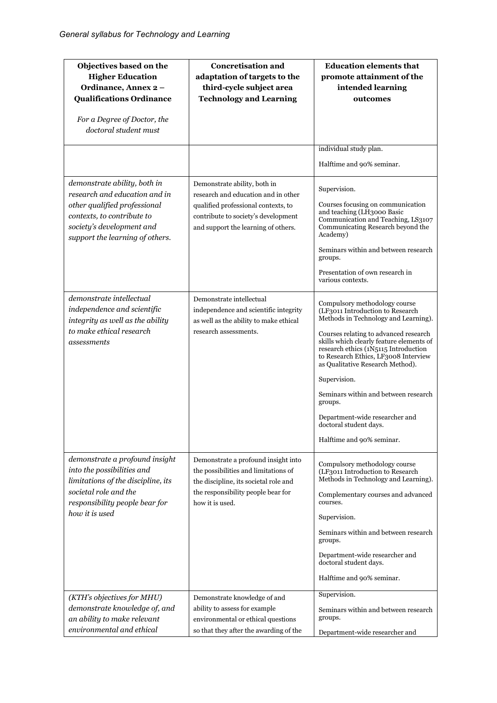| Objectives based on the<br><b>Higher Education</b><br>Ordinance, Annex 2-<br><b>Qualifications Ordinance</b><br>For a Degree of Doctor, the<br>doctoral student must                        | <b>Concretisation and</b><br>adaptation of targets to the<br>third-cycle subject area<br><b>Technology and Learning</b>                                                                  | <b>Education elements that</b><br>promote attainment of the<br>intended learning<br>outcomes                                                                                                                                                                                                                                                                                                                                                                                   |
|---------------------------------------------------------------------------------------------------------------------------------------------------------------------------------------------|------------------------------------------------------------------------------------------------------------------------------------------------------------------------------------------|--------------------------------------------------------------------------------------------------------------------------------------------------------------------------------------------------------------------------------------------------------------------------------------------------------------------------------------------------------------------------------------------------------------------------------------------------------------------------------|
|                                                                                                                                                                                             |                                                                                                                                                                                          |                                                                                                                                                                                                                                                                                                                                                                                                                                                                                |
|                                                                                                                                                                                             |                                                                                                                                                                                          | individual study plan.                                                                                                                                                                                                                                                                                                                                                                                                                                                         |
|                                                                                                                                                                                             |                                                                                                                                                                                          | Halftime and 90% seminar.                                                                                                                                                                                                                                                                                                                                                                                                                                                      |
| demonstrate ability, both in<br>research and education and in<br>other qualified professional<br>contexts, to contribute to<br>society's development and<br>support the learning of others. | Demonstrate ability, both in<br>research and education and in other<br>qualified professional contexts, to<br>contribute to society's development<br>and support the learning of others. | Supervision.<br>Courses focusing on communication<br>and teaching (LH3000 Basic<br>Communication and Teaching, LS3107<br>Communicating Research beyond the<br>Academy)<br>Seminars within and between research<br>groups.<br>Presentation of own research in<br>various contexts.                                                                                                                                                                                              |
| demonstrate intellectual<br>independence and scientific<br>integrity as well as the ability<br>to make ethical research<br>assessments                                                      | Demonstrate intellectual<br>independence and scientific integrity<br>as well as the ability to make ethical<br>research assessments.                                                     | Compulsory methodology course<br>(LF3011 Introduction to Research<br>Methods in Technology and Learning).<br>Courses relating to advanced research<br>skills which clearly feature elements of<br>research ethics (1N5115 Introduction<br>to Research Ethics, LF3008 Interview<br>as Qualitative Research Method).<br>Supervision.<br>Seminars within and between research<br>groups.<br>Department-wide researcher and<br>doctoral student days.<br>Halftime and 90% seminar. |
| demonstrate a profound insight<br>into the possibilities and<br>limitations of the discipline, its<br>societal role and the<br>responsibility people bear for<br>how it is used             | Demonstrate a profound insight into<br>the possibilities and limitations of<br>the discipline, its societal role and<br>the responsibility people bear for<br>how it is used.            | Compulsory methodology course<br>(LF3011 Introduction to Research<br>Methods in Technology and Learning).<br>Complementary courses and advanced<br>courses.<br>Supervision.<br>Seminars within and between research<br>groups.<br>Department-wide researcher and<br>doctoral student days.<br>Halftime and 90% seminar.                                                                                                                                                        |
| (KTH's objectives for MHU)<br>demonstrate knowledge of, and<br>an ability to make relevant<br>environmental and ethical                                                                     | Demonstrate knowledge of and<br>ability to assess for example<br>environmental or ethical questions<br>so that they after the awarding of the                                            | Supervision.<br>Seminars within and between research<br>groups.<br>Department-wide researcher and                                                                                                                                                                                                                                                                                                                                                                              |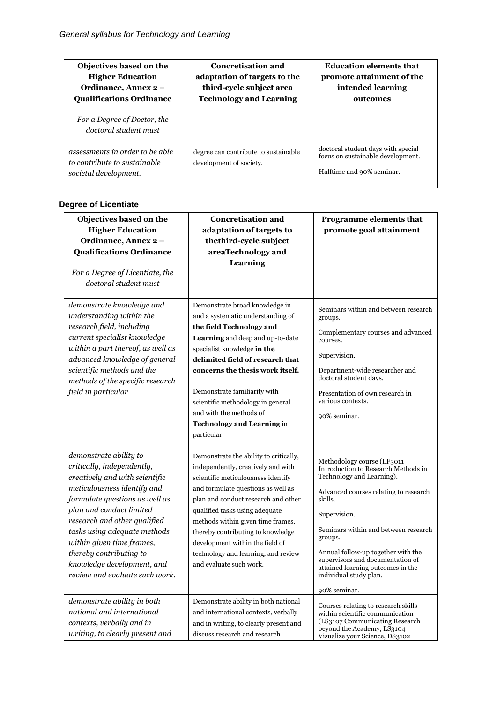| Objectives based on the<br><b>Higher Education</b><br>Ordinance, Annex 2 -<br><b>Qualifications Ordinance</b> | <b>Concretisation and</b><br>adaptation of targets to the<br>third-cycle subject area<br><b>Technology and Learning</b> | <b>Education elements that</b><br>promote attainment of the<br>intended learning<br>outcomes         |
|---------------------------------------------------------------------------------------------------------------|-------------------------------------------------------------------------------------------------------------------------|------------------------------------------------------------------------------------------------------|
| For a Degree of Doctor, the<br>doctoral student must                                                          |                                                                                                                         |                                                                                                      |
| assessments in order to be able<br>to contribute to sustainable<br>societal development.                      | degree can contribute to sustainable<br>development of society.                                                         | doctoral student days with special<br>focus on sustainable development.<br>Halftime and 90% seminar. |

## **Degree of Licentiate**

| Objectives based on the<br><b>Higher Education</b><br>Ordinance, Annex 2-<br><b>Qualifications Ordinance</b><br>For a Degree of Licentiate, the<br>doctoral student must                                                                                                                                                                                                                                   | <b>Concretisation and</b><br>adaptation of targets to<br>thethird-cycle subject<br>areaTechnology and<br>Learning                                                                                                                                                                                                                                                                                                | Programme elements that<br>promote goal attainment                                                                                                                                                                                                                                                                                                                             |
|------------------------------------------------------------------------------------------------------------------------------------------------------------------------------------------------------------------------------------------------------------------------------------------------------------------------------------------------------------------------------------------------------------|------------------------------------------------------------------------------------------------------------------------------------------------------------------------------------------------------------------------------------------------------------------------------------------------------------------------------------------------------------------------------------------------------------------|--------------------------------------------------------------------------------------------------------------------------------------------------------------------------------------------------------------------------------------------------------------------------------------------------------------------------------------------------------------------------------|
| demonstrate knowledge and<br>understanding within the<br>research field, including<br>current specialist knowledge<br>within a part thereof, as well as<br>advanced knowledge of general<br>scientific methods and the<br>methods of the specific research<br>field in particular                                                                                                                          | Demonstrate broad knowledge in<br>and a systematic understanding of<br>the field Technology and<br>Learning and deep and up-to-date<br>specialist knowledge in the<br>delimited field of research that<br>concerns the thesis work itself.<br>Demonstrate familiarity with<br>scientific methodology in general<br>and with the methods of<br><b>Technology and Learning in</b><br>particular.                   | Seminars within and between research<br>groups.<br>Complementary courses and advanced<br>courses.<br>Supervision.<br>Department-wide researcher and<br>doctoral student days.<br>Presentation of own research in<br>various contexts.<br>90% seminar.                                                                                                                          |
| demonstrate ability to<br>critically, independently,<br>creatively and with scientific<br>meticulousness identify and<br>formulate questions as well as<br>plan and conduct limited<br>research and other qualified<br>tasks using adequate methods<br>within given time frames,<br>thereby contributing to<br>knowledge development, and<br>review and evaluate such work.<br>demonstrate ability in both | Demonstrate the ability to critically,<br>independently, creatively and with<br>scientific meticulousness identify<br>and formulate questions as well as<br>plan and conduct research and other<br>qualified tasks using adequate<br>methods within given time frames,<br>thereby contributing to knowledge<br>development within the field of<br>technology and learning, and review<br>and evaluate such work. | Methodology course (LF3011<br>Introduction to Research Methods in<br>Technology and Learning).<br>Advanced courses relating to research<br>skills.<br>Supervision.<br>Seminars within and between research<br>groups.<br>Annual follow-up together with the<br>supervisors and documentation of<br>attained learning outcomes in the<br>individual study plan.<br>90% seminar. |
| national and international<br>contexts, verbally and in<br>writing, to clearly present and                                                                                                                                                                                                                                                                                                                 | Demonstrate ability in both national<br>and international contexts, verbally<br>and in writing, to clearly present and<br>discuss research and research                                                                                                                                                                                                                                                          | Courses relating to research skills<br>within scientific communication<br>(LS3107 Communicating Research<br>beyond the Academy, LS3104<br>Visualize your Science, DS3102                                                                                                                                                                                                       |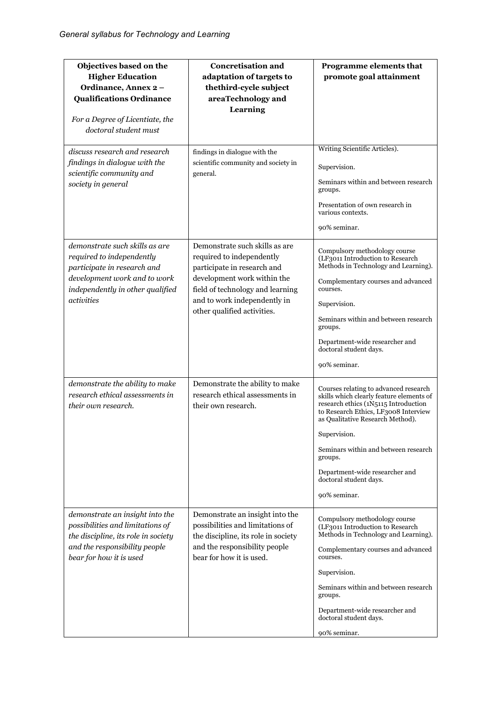| Objectives based on the<br><b>Higher Education</b><br>Ordinance, Annex 2-<br><b>Qualifications Ordinance</b><br>For a Degree of Licentiate, the<br>doctoral student must     | <b>Concretisation and</b><br>adaptation of targets to<br>thethird-cycle subject<br>areaTechnology and<br>Learning                                                                                                            | Programme elements that<br>promote goal attainment                                                                                                                                                                                                                                                                                                   |
|------------------------------------------------------------------------------------------------------------------------------------------------------------------------------|------------------------------------------------------------------------------------------------------------------------------------------------------------------------------------------------------------------------------|------------------------------------------------------------------------------------------------------------------------------------------------------------------------------------------------------------------------------------------------------------------------------------------------------------------------------------------------------|
| discuss research and research<br>findings in dialogue with the<br>scientific community and<br>society in general                                                             | findings in dialogue with the<br>scientific community and society in<br>general.                                                                                                                                             | Writing Scientific Articles).<br>Supervision.<br>Seminars within and between research<br>groups.<br>Presentation of own research in<br>various contexts.<br>90% seminar.                                                                                                                                                                             |
| demonstrate such skills as are<br>required to independently<br>participate in research and<br>development work and to work<br>independently in other qualified<br>activities | Demonstrate such skills as are<br>required to independently<br>participate in research and<br>development work within the<br>field of technology and learning<br>and to work independently in<br>other qualified activities. | Compulsory methodology course<br>(LF3011 Introduction to Research<br>Methods in Technology and Learning).<br>Complementary courses and advanced<br>courses.<br>Supervision.<br>Seminars within and between research<br>groups.<br>Department-wide researcher and<br>doctoral student days.<br>90% seminar.                                           |
| demonstrate the ability to make<br>research ethical assessments in<br>their own research.                                                                                    | Demonstrate the ability to make<br>research ethical assessments in<br>their own research.                                                                                                                                    | Courses relating to advanced research<br>skills which clearly feature elements of<br>research ethics (1N5115 Introduction<br>to Research Ethics, LF3008 Interview<br>as Qualitative Research Method).<br>Supervision.<br>Seminars within and between research<br>groups.<br>Department-wide researcher and<br>doctoral student days.<br>90% seminar. |
| demonstrate an insight into the<br>possibilities and limitations of<br>the discipline, its role in society<br>and the responsibility people<br>bear for how it is used       | Demonstrate an insight into the<br>possibilities and limitations of<br>the discipline, its role in society<br>and the responsibility people<br>bear for how it is used.                                                      | Compulsory methodology course<br>(LF3011 Introduction to Research<br>Methods in Technology and Learning).<br>Complementary courses and advanced<br>courses.<br>Supervision.<br>Seminars within and between research<br>groups.<br>Department-wide researcher and<br>doctoral student days.<br>90% seminar.                                           |